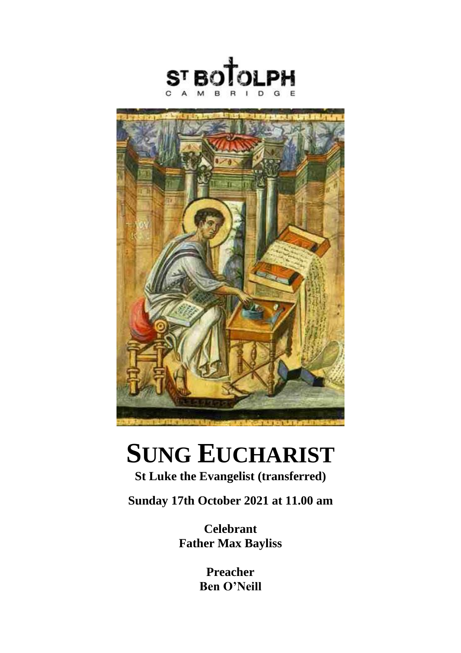



# **SUNG EUCHARIST**

# **St Luke the Evangelist (transferred)**

**Sunday 17th October 2021 at 11.00 am**

**Celebrant Father Max Bayliss**

> **Preacher Ben O'Neill**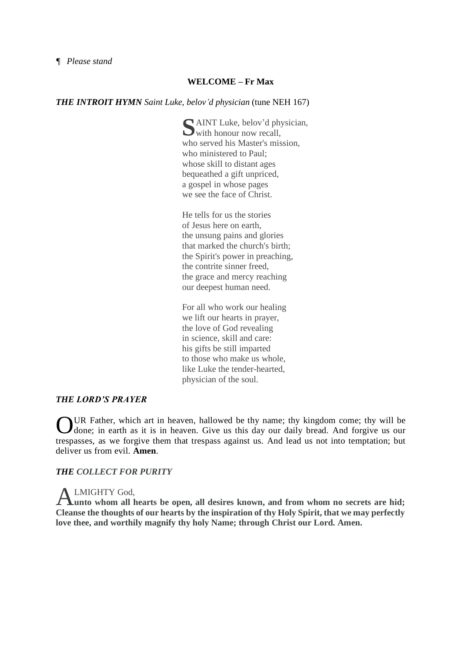# **WELCOME – Fr Max**

#### *THE INTROIT HYMN Saint Luke, belov'd physician* (tune NEH 167)

SaINT Luke, belov'd physician, with honour now recall, with honour now recall. who served his Master's mission, who ministered to Paul; whose skill to distant ages bequeathed a gift unpriced, a gospel in whose pages we see the face of Christ.

He tells for us the stories of Jesus here on earth, the unsung pains and glories that marked the church's birth; the Spirit's power in preaching, the contrite sinner freed, the grace and mercy reaching our deepest human need.

For all who work our healing we lift our hearts in prayer, the love of God revealing in science, skill and care: his gifts be still imparted to those who make us whole, like Luke the tender-hearted, physician of the soul.

#### *THE LORD'S PRAYER*

UR Father, which art in heaven, hallowed be thy name; thy kingdom come; thy will be UR Father, which art in heaven, hallowed be thy name; thy kingdom come; thy will be done; in earth as it is in heaven. Give us this day our daily bread. And forgive us our trespasses, as we forgive them that trespass against us. And lead us not into temptation; but deliver us from evil. **Amen**.

#### *THE COLLECT FOR PURITY*

#### LMIGHTY God,

ALMIGHTY God,<br> **A**unto whom all hearts be open, all desires known, and from whom no secrets are hid; **Cleanse the thoughts of our hearts by the inspiration of thy Holy Spirit, that we may perfectly love thee, and worthily magnify thy holy Name; through Christ our Lord. Amen.**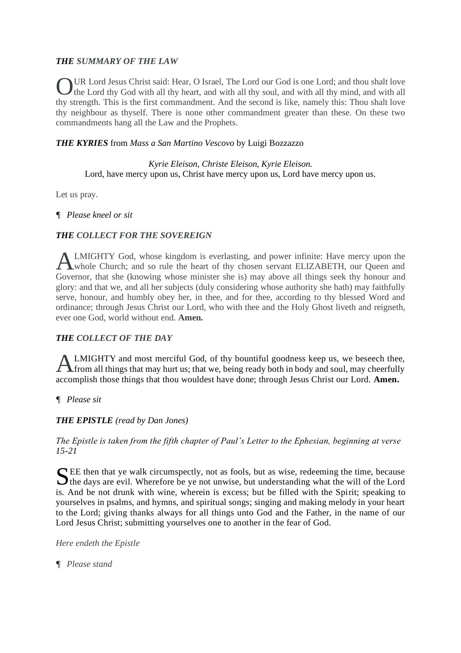# *THE SUMMARY OF THE LAW*

UR Lord Jesus Christ said: Hear, O Israel, The Lord our God is one Lord; and thou shalt love the Lord thy God with all thy heart, and with all thy soul, and with all thy mind, and with all thy strength. This is the first commandment. And the second is like, namely this: Thou shalt love thy neighbour as thyself. There is none other commandment greater than these. On these two commandments hang all the Law and the Prophets. O

# *THE KYRIES* from *Mass a San Martino Vescovo* by Luigi Bozzazzo

## *Kyrie Eleison, Christe Eleison, Kyrie Eleison.* Lord, have mercy upon us, Christ have mercy upon us, Lord have mercy upon us.

Let us pray.

#### *¶ Please kneel or sit*

# *THE COLLECT FOR THE SOVEREIGN*

LMIGHTY God, whose kingdom is everlasting, and power infinite: Have mercy upon the whole Church; and so rule the heart of thy chosen servant ELIZABETH, our Queen and Governor, that she (knowing whose minister she is) may above all things seek thy honour and glory: and that we, and all her subjects (duly considering whose authority she hath) may faithfully serve, honour, and humbly obey her, in thee, and for thee, according to thy blessed Word and ordinance; through Jesus Christ our Lord, who with thee and the Holy Ghost liveth and reigneth, ever one God, world without end. **Amen.** A

#### *THE COLLECT OF THE DAY*

LMIGHTY and most merciful God, of thy bountiful goodness keep us, we beseech thee, ALMIGHTY and most merciful God, of thy bountiful goodness keep us, we beseech thee,<br>
from all things that may hurt us; that we, being ready both in body and soul, may cheerfully accomplish those things that thou wouldest have done; through Jesus Christ our Lord. **Amen.**

*¶ Please sit*

#### *THE EPISTLE (read by Dan Jones)*

*The Epistle is taken from the fifth chapter of Paul's Letter to the Ephesian, beginning at verse 15-21*

SEE then that ye walk circumspectly, not as fools, but as wise, redeeming the time, because<br>the days are evil. Wherefore be ye not unwise, but understanding what the will of the Lord  $\sum$  the days are evil. Wherefore be ye not unwise, but understanding what the will of the Lord is. And be not drunk with wine, wherein is excess; but be filled with the Spirit; speaking to yourselves in psalms, and hymns, and spiritual songs; singing and making melody in your heart to the Lord; giving thanks always for all things unto God and the Father, in the name of our Lord Jesus Christ; submitting yourselves one to another in the fear of God.

*Here endeth the Epistle*

*¶ Please stand*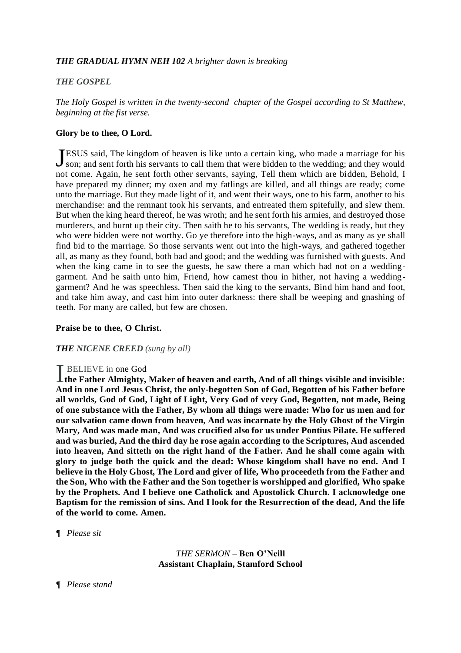#### *THE GRADUAL HYMN NEH 102 A brighter dawn is breaking*

#### *THE GOSPEL*

*The Holy Gospel is written in the twenty-second chapter of the Gospel according to St Matthew, beginning at the fist verse.*

#### **Glory be to thee, O Lord.**

ESUS said, The kingdom of heaven is like unto a certain king, who made a marriage for his JESUS said, The kingdom of heaven is like unto a certain king, who made a marriage for his son; and sent forth his servants to call them that were bidden to the wedding; and they would not come. Again, he sent forth other servants, saying, Tell them which are bidden, Behold, I have prepared my dinner; my oxen and my fatlings are killed, and all things are ready; come unto the marriage. But they made light of it, and went their ways, one to his farm, another to his merchandise: and the remnant took his servants, and entreated them spitefully, and slew them. But when the king heard thereof, he was wroth; and he sent forth his armies, and destroyed those murderers, and burnt up their city. Then saith he to his servants, The wedding is ready, but they who were bidden were not worthy. Go ye therefore into the high-ways, and as many as ye shall find bid to the marriage. So those servants went out into the high-ways, and gathered together all, as many as they found, both bad and good; and the wedding was furnished with guests. And when the king came in to see the guests, he saw there a man which had not on a weddinggarment. And he saith unto him, Friend, how camest thou in hither, not having a weddinggarment? And he was speechless. Then said the king to the servants, Bind him hand and foot, and take him away, and cast him into outer darkness: there shall be weeping and gnashing of teeth. For many are called, but few are chosen.

#### **Praise be to thee, O Christ.**

#### *THE NICENE CREED (sung by all)*

#### BELIEVE in one God

I BELIEVE in one God<br> **the Father Almighty, Maker of heaven and earth, And of all things visible and invisible: And in one Lord Jesus Christ, the only-begotten Son of God, Begotten of his Father before all worlds, God of God, Light of Light, Very God of very God, Begotten, not made, Being of one substance with the Father, By whom all things were made: Who for us men and for our salvation came down from heaven, And was incarnate by the Holy Ghost of the Virgin Mary, And was made man, And was crucified also for us under Pontius Pilate. He suffered and was buried, And the third day he rose again according to the Scriptures, And ascended into heaven, And sitteth on the right hand of the Father. And he shall come again with glory to judge both the quick and the dead: Whose kingdom shall have no end. And I believe in the Holy Ghost, The Lord and giver of life, Who proceedeth from the Father and the Son, Who with the Father and the Son together is worshipped and glorified, Who spake by the Prophets. And I believe one Catholick and Apostolick Church. I acknowledge one Baptism for the remission of sins. And I look for the Resurrection of the dead, And the life of the world to come. Amen.**

#### *¶ Please sit*

*THE SERMON –* **Ben O'Neill Assistant Chaplain, Stamford School**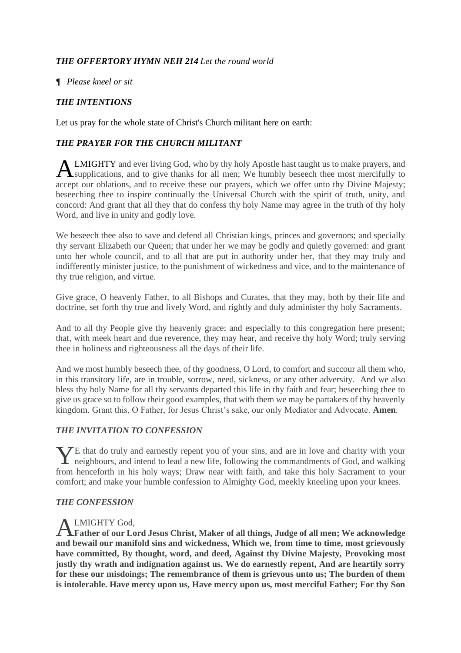# *THE OFFERTORY HYMN NEH 214 Let the round world*

### *¶ Please kneel or sit*

# *THE INTENTIONS*

Let us pray for the whole state of Christ's Church militant here on earth:

# *THE PRAYER FOR THE CHURCH MILITANT*

LMIGHTY and ever living God, who by thy holy Apostle hast taught us to make prayers, and **ALMIGHTY** and ever living God, who by thy holy Apostle hast taught us to make prayers, and supplications, and to give thanks for all men; We humbly beseech thee most mercifully to accept our oblations, and to receive these our prayers, which we offer unto thy Divine Majesty; beseeching thee to inspire continually the Universal Church with the spirit of truth, unity, and concord: And grant that all they that do confess thy holy Name may agree in the truth of thy holy Word, and live in unity and godly love.

We beseech thee also to save and defend all Christian kings, princes and governors; and specially thy servant Elizabeth our Queen; that under her we may be godly and quietly governed: and grant unto her whole council, and to all that are put in authority under her, that they may truly and indifferently minister justice, to the punishment of wickedness and vice, and to the maintenance of thy true religion, and virtue.

Give grace, O heavenly Father, to all Bishops and Curates, that they may, both by their life and doctrine, set forth thy true and lively Word, and rightly and duly administer thy holy Sacraments.

And to all thy People give thy heavenly grace; and especially to this congregation here present; that, with meek heart and due reverence, they may hear, and receive thy holy Word; truly serving thee in holiness and righteousness all the days of their life.

And we most humbly beseech thee, of thy goodness, O Lord, to comfort and succour all them who, in this transitory life, are in trouble, sorrow, need, sickness, or any other adversity. And we also bless thy holy Name for all thy servants departed this life in thy faith and fear; beseeching thee to give us grace so to follow their good examples, that with them we may be partakers of thy heavenly kingdom. Grant this, O Father, for Jesus Christ's sake, our only Mediator and Advocate. **Amen**.

# *THE INVITATION TO CONFESSION*

 $\sqrt{\text{E}}$  that do truly and earnestly repent you of your sins, and are in love and charity with your The that do truly and earnestly repent you of your sins, and are in love and charity with your neighbours, and intend to lead a new life, following the commandments of God, and walking from henceforth in his holy ways; Draw near with faith, and take this holy Sacrament to your comfort; and make your humble confession to Almighty God, meekly kneeling upon your knees.

#### *THE CONFESSION*

#### LMIGHTY God,

**Father of our Lord Jesus Christ, Maker of all things, Judge of all men; We acknowledge**  A**and bewail our manifold sins and wickedness, Which we, from time to time, most grievously have committed, By thought, word, and deed, Against thy Divine Majesty, Provoking most justly thy wrath and indignation against us. We do earnestly repent, And are heartily sorry for these our misdoings; The remembrance of them is grievous unto us; The burden of them is intolerable. Have mercy upon us, Have mercy upon us, most merciful Father; For thy Son**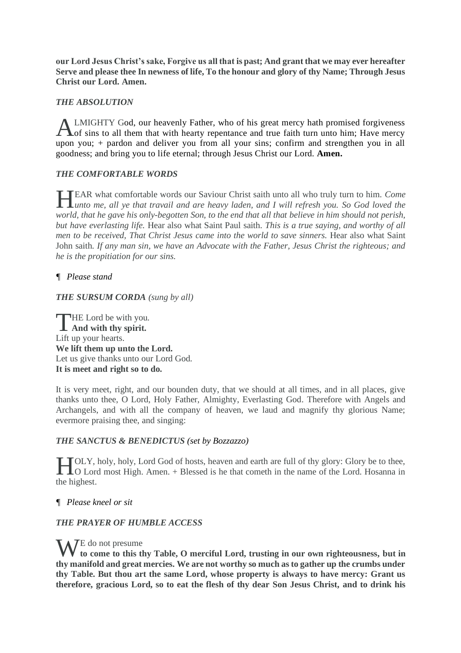**our Lord Jesus Christ's sake, Forgive us all that is past; And grant that we may ever hereafter Serve and please thee In newness of life, To the honour and glory of thy Name; Through Jesus Christ our Lord. Amen.** 

# *THE ABSOLUTION*

LMIGHTY God, our heavenly Father, who of his great mercy hath promised forgiveness ALMIGHTY God, our heavenly Father, who of his great mercy hath promised forgiveness of sins to all them that with hearty repentance and true faith turn unto him; Have mercy upon you; + pardon and deliver you from all your sins; confirm and strengthen you in all goodness; and bring you to life eternal; through Jesus Christ our Lord. **Amen.**

# *THE COMFORTABLE WORDS*

EAR what comfortable words our Saviour Christ saith unto all who truly turn to him. *Come*  **HEAR** what comfortable words our Saviour Christ saith unto all who truly turn to him. Come unto me, all ye that travail and are heavy laden, and I will refresh you. So God loved the *world, that he gave his only-begotten Son, to the end that all that believe in him should not perish, but have everlasting life.* Hear also what Saint Paul saith. *This is a true saying, and worthy of all men to be received, That Christ Jesus came into the world to save sinners.* Hear also what Saint John saith. *If any man sin, we have an Advocate with the Father, Jesus Christ the righteous; and he is the propitiation for our sins.*

# *¶ Please stand*

*THE SURSUM CORDA (sung by all)*

**THE Lord be with you. THE Lord be with you And with thy spirit.** Lift up your hearts. **We lift them up unto the Lord.** Let us give thanks unto our Lord God. **It is meet and right so to do.** 

It is very meet, right, and our bounden duty, that we should at all times, and in all places, give thanks unto thee, O Lord, Holy Father, Almighty, Everlasting God. Therefore with Angels and Archangels, and with all the company of heaven, we laud and magnify thy glorious Name; evermore praising thee, and singing:

#### *THE SANCTUS & BENEDICTUS (set by Bozzazzo)*

OLY, holy, holy, Lord God of hosts, heaven and earth are full of thy glory: Glory be to thee, **TOLY**, holy, holy, Lord God of hosts, heaven and earth are full of thy glory: Glory be to thee, O Lord most High. Amen. + Blessed is he that cometh in the name of the Lord. Hosanna in the highest.

#### *¶ Please kneel or sit*

#### *THE PRAYER OF HUMBLE ACCESS*

WE do not presume **to come to this thy Table, O merciful Lord, trusting in our own righteousness, but in thy manifold and great mercies. We are not worthy so much as to gather up the crumbs under thy Table. But thou art the same Lord, whose property is always to have mercy: Grant us therefore, gracious Lord, so to eat the flesh of thy dear Son Jesus Christ, and to drink his**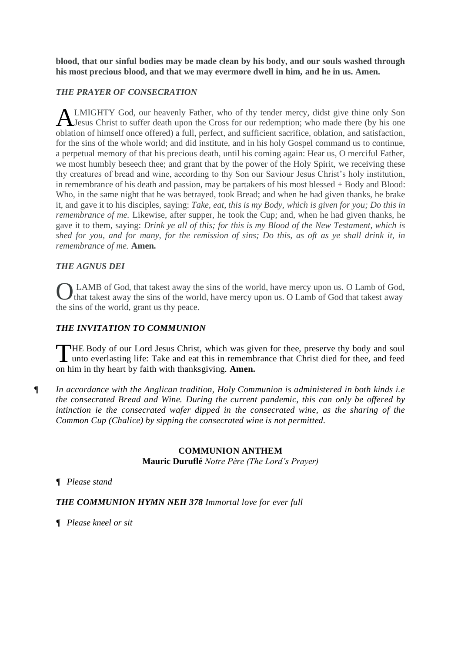**blood, that our sinful bodies may be made clean by his body, and our souls washed through his most precious blood, and that we may evermore dwell in him, and he in us. Amen.** 

# *THE PRAYER OF CONSECRATION*

LMIGHTY God, our heavenly Father, who of thy tender mercy, didst give thine only Son ALMIGHTY God, our heavenly Father, who of thy tender mercy, didst give thine only Son<br>Jesus Christ to suffer death upon the Cross for our redemption; who made there (by his one oblation of himself once offered) a full, perfect, and sufficient sacrifice, oblation, and satisfaction, for the sins of the whole world; and did institute, and in his holy Gospel command us to continue, a perpetual memory of that his precious death, until his coming again: Hear us, O merciful Father, we most humbly beseech thee; and grant that by the power of the Holy Spirit, we receiving these thy creatures of bread and wine, according to thy Son our Saviour Jesus Christ's holy institution, in remembrance of his death and passion, may be partakers of his most blessed + Body and Blood: Who, in the same night that he was betrayed, took Bread; and when he had given thanks, he brake it, and gave it to his disciples, saying: *Take, eat, this is my Body, which is given for you; Do this in remembrance of me.* Likewise, after supper, he took the Cup; and, when he had given thanks, he gave it to them, saying: *Drink ye all of this; for this is my Blood of the New Testament, which is shed for you, and for many, for the remission of sins; Do this, as oft as ye shall drink it, in remembrance of me.* **Amen.**

# *THE AGNUS DEI*

LAMB of God, that takest away the sins of the world, have mercy upon us. O Lamb of God, **O** LAMB of God, that takest away the sins of the world, have mercy upon us. O Lamb of God, that takest away the sins of the world, have mercy upon us. O Lamb of God that takest away the sins of the world, grant us thy peace.

# *THE INVITATION TO COMMUNION*

HE Body of our Lord Jesus Christ, which was given for thee, preserve thy body and soul THE Body of our Lord Jesus Christ, which was given for thee, preserve thy body and soul unto everlasting life: Take and eat this in remembrance that Christ died for thee, and feed on him in thy heart by faith with thanksgiving. **Amen.**

*¶ In accordance with the Anglican tradition, Holy Communion is administered in both kinds i.e the consecrated Bread and Wine. During the current pandemic, this can only be offered by intinction ie the consecrated wafer dipped in the consecrated wine, as the sharing of the Common Cup (Chalice) by sipping the consecrated wine is not permitted.*

#### **COMMUNION ANTHEM Mauric Duruflé** *Notre Père (The Lord's Prayer)*

#### *¶ Please stand*

#### *THE COMMUNION HYMN NEH 378 Immortal love for ever full*

*¶ Please kneel or sit*